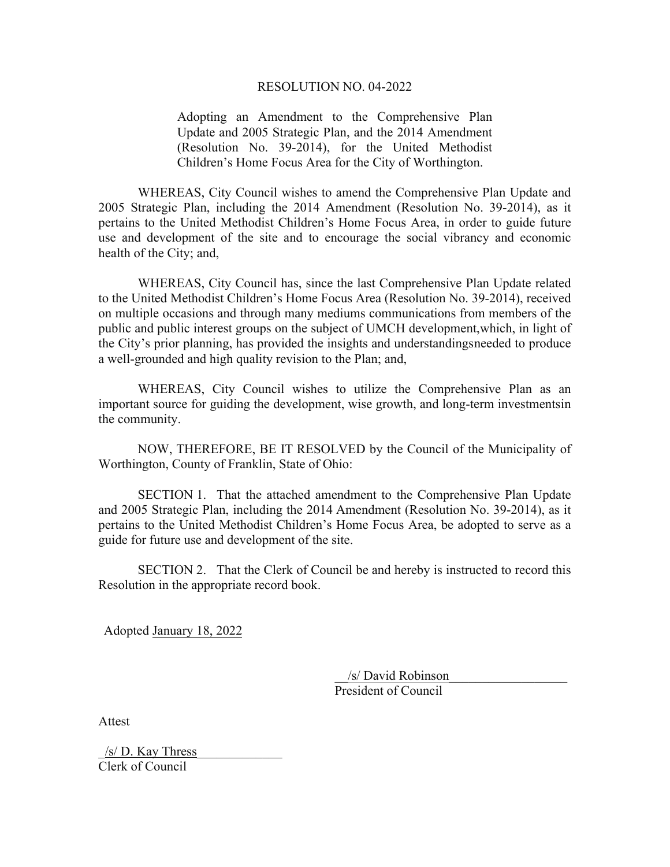#### RESOLUTION NO. 04-2022

Adopting an Amendment to the Comprehensive Plan Update and 2005 Strategic Plan, and the 2014 Amendment (Resolution No. 39-2014), for the United Methodist Children's Home Focus Area for the City of Worthington.

WHEREAS, City Council wishes to amend the Comprehensive Plan Update and 2005 Strategic Plan, including the 2014 Amendment (Resolution No. 39-2014), as it pertains to the United Methodist Children's Home Focus Area, in order to guide future use and development of the site and to encourage the social vibrancy and economic health of the City; and,

WHEREAS, City Council has, since the last Comprehensive Plan Update related to the United Methodist Children's Home Focus Area (Resolution No. 39-2014), received on multiple occasions and through many mediums communications from members of the public and public interest groups on the subject of UMCH development, which, in light of the City's prior planning, has provided the insights and understandings needed to produce a well-grounded and high quality revision to the Plan; and,

WHEREAS, City Council wishes to utilize the Comprehensive Plan as an important source for guiding the development, wise growth, and long-term investments in the community.

NOW, THEREFORE, BE IT RESOLVED by the Council of the Municipality of Worthington, County of Franklin, State of Ohio:

SECTION 1. That the attached amendment to the Comprehensive Plan Update and 2005 Strategic Plan, including the 2014 Amendment (Resolution No. 39-2014), as it pertains to the United Methodist Children's Home Focus Area, be adopted to serve as a guide for future use and development of the site.

SECTION 2. That the Clerk of Council be and hereby is instructed to record this Resolution in the appropriate record book.

Adopted January 18, 2022

\_\_/s/ David Robinson\_\_\_\_\_\_\_\_\_\_\_\_\_\_\_\_\_\_ President of Council

Attest

 $/s/D$ . Kay Thress Clerk of Council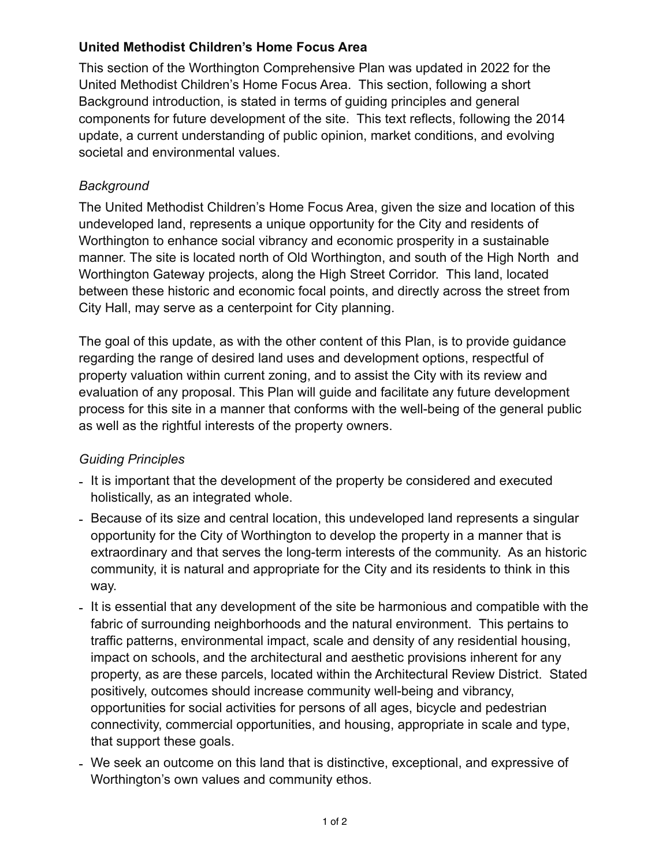## **United Methodist Children's Home Focus Area**

This section of the Worthington Comprehensive Plan was updated in 2022 for the United Methodist Children's Home Focus Area. This section, following a short Background introduction, is stated in terms of guiding principles and general components for future development of the site. This text reflects, following the 2014 update, a current understanding of public opinion, market conditions, and evolving societal and environmental values.

## *Background*

The United Methodist Children's Home Focus Area, given the size and location of this undeveloped land, represents a unique opportunity for the City and residents of Worthington to enhance social vibrancy and economic prosperity in a sustainable manner. The site is located north of Old Worthington, and south of the High North and Worthington Gateway projects, along the High Street Corridor. This land, located between these historic and economic focal points, and directly across the street from City Hall, may serve as a centerpoint for City planning.

The goal of this update, as with the other content of this Plan, is to provide guidance regarding the range of desired land uses and development options, respectful of property valuation within current zoning, and to assist the City with its review and evaluation of any proposal. This Plan will guide and facilitate any future development process for this site in a manner that conforms with the well-being of the general public as well as the rightful interests of the property owners.

# *Guiding Principles*

- It is important that the development of the property be considered and executed holistically, as an integrated whole.
- Because of its size and central location, this undeveloped land represents a singular opportunity for the City of Worthington to develop the property in a manner that is extraordinary and that serves the long-term interests of the community. As an historic community, it is natural and appropriate for the City and its residents to think in this way.
- It is essential that any development of the site be harmonious and compatible with the fabric of surrounding neighborhoods and the natural environment. This pertains to traffic patterns, environmental impact, scale and density of any residential housing, impact on schools, and the architectural and aesthetic provisions inherent for any property, as are these parcels, located within the Architectural Review District. Stated positively, outcomes should increase community well-being and vibrancy, opportunities for social activities for persons of all ages, bicycle and pedestrian connectivity, commercial opportunities, and housing, appropriate in scale and type, that support these goals.
- We seek an outcome on this land that is distinctive, exceptional, and expressive of Worthington's own values and community ethos.